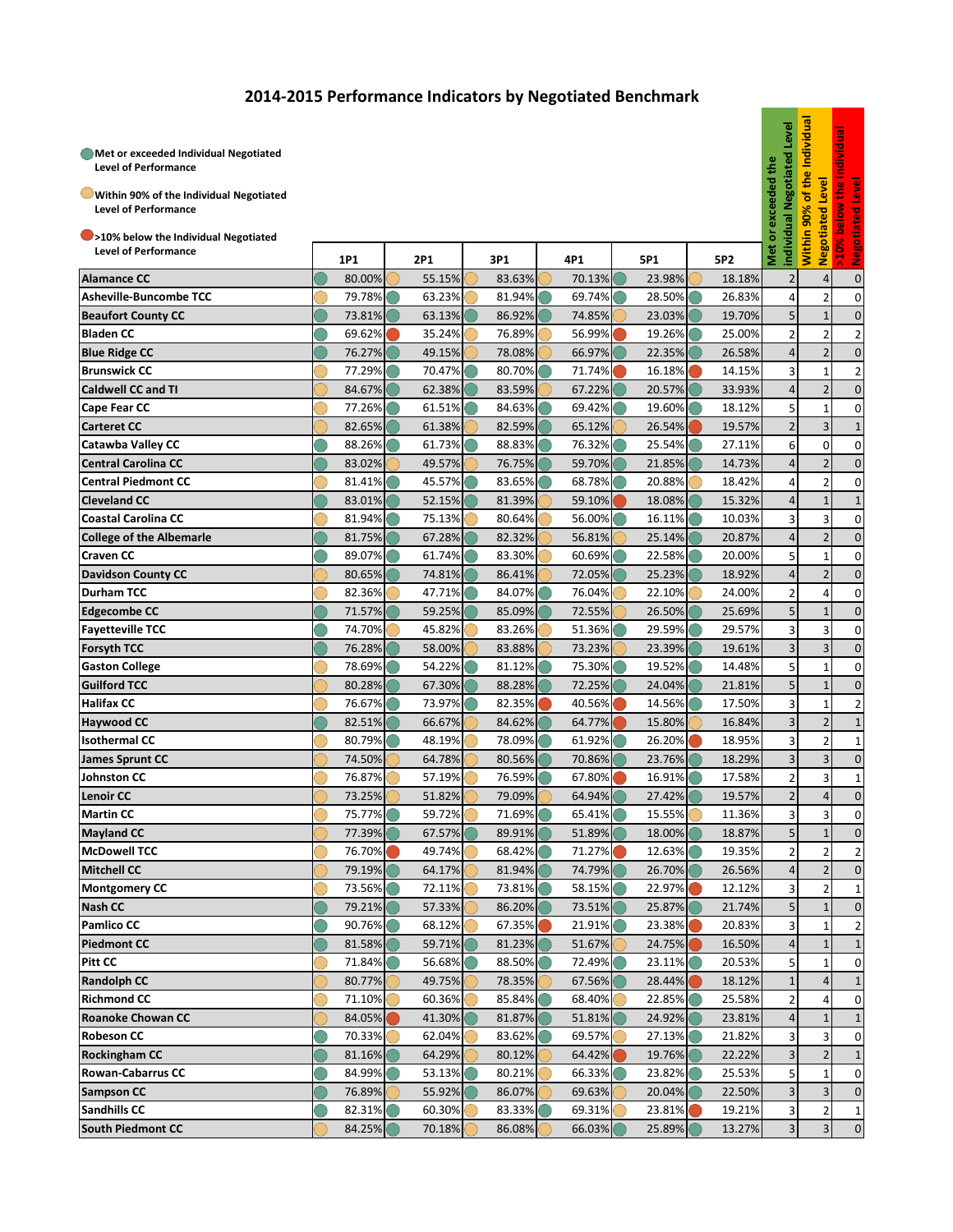## **2014-2015 Performance Indicators by Negotiated Benchmark**

| Met or exceeded Individual Negotiated<br><b>Level of Performance</b><br>Within 90% of the Individual Negotiated<br><b>Level of Performance</b><br>>10% below the Individual Negotiated<br><b>Level of Performance</b> | 1P1    | 2P1    | 3P1    | 4P1    | 5P1    | 5P <sub>2</sub> | Level<br>egotiated<br>or exceeded the<br>individ<br>Met | Individual<br>the<br>đ<br>ä<br>Within | Level<br>lated<br><b>Negotia</b> | the Individua<br><u>level</u><br>70<br>>10% |
|-----------------------------------------------------------------------------------------------------------------------------------------------------------------------------------------------------------------------|--------|--------|--------|--------|--------|-----------------|---------------------------------------------------------|---------------------------------------|----------------------------------|---------------------------------------------|
| <b>Alamance CC</b>                                                                                                                                                                                                    | 80.00% | 55.15% | 83.63% | 70.13% | 23.98% | 18.18%          | 2                                                       |                                       | $\overline{4}$                   | ż<br>$\mathbf 0$                            |
| <b>Asheville-Buncombe TCC</b>                                                                                                                                                                                         | 79.78% | 63.23% | 81.94% | 69.74% | 28.50% | 26.83%          | 4                                                       |                                       | 2                                | 0                                           |
| <b>Beaufort County CC</b>                                                                                                                                                                                             | 73.81% | 63.13% | 86.92% | 74.85% | 23.03% | 19.70%          | 5                                                       |                                       | $\mathbf{1}$                     | $\mathbf{0}$                                |
| <b>Bladen CC</b>                                                                                                                                                                                                      | 69.62% | 35.24% | 76.89% | 56.99% | 19.26% | 25.00%          | 2                                                       |                                       | $\overline{2}$                   | 2                                           |
| <b>Blue Ridge CC</b>                                                                                                                                                                                                  | 76.27% | 49.15% | 78.08% | 66.97% | 22.35% | 26.58%          | $\overline{4}$                                          |                                       | $\overline{2}$                   | $\mathbf{0}$                                |
| <b>Brunswick CC</b>                                                                                                                                                                                                   | 77.29% | 70.47% | 80.70% | 71.74% | 16.18% | 14.15%          | 3                                                       |                                       | $\mathbf{1}$                     | 2                                           |
| <b>Caldwell CC and TI</b>                                                                                                                                                                                             | 84.67% | 62.38% | 83.59% | 67.22% | 20.57% | 33.93%          | $\overline{4}$                                          |                                       | $\overline{2}$                   | $\mathbf{0}$                                |
| Cape Fear CC                                                                                                                                                                                                          | 77.26% | 61.51% | 84.63% | 69.42% | 19.60% | 18.12%          | 5                                                       |                                       | $\mathbf{1}$                     | 0                                           |
| <b>Carteret CC</b>                                                                                                                                                                                                    | 82.65% | 61.38% | 82.59% | 65.12% | 26.54% | 19.57%          | $\overline{2}$                                          |                                       | 3                                |                                             |
| <b>Catawba Valley CC</b>                                                                                                                                                                                              | 88.26% | 61.73% | 88.83% | 76.32% | 25.54% | 27.11%          | 6                                                       |                                       | $\Omega$                         | $1\,$<br>0                                  |
| <b>Central Carolina CC</b>                                                                                                                                                                                            | 83.02% | 49.57% | 76.75% | 59.70% | 21.85% | 14.73%          | $\overline{4}$                                          |                                       | $\overline{2}$                   | $\mathbf{0}$                                |
| <b>Central Piedmont CC</b>                                                                                                                                                                                            | 81.41% | 45.57% | 83.65% | 68.78% | 20.88% | 18.42%          | 4                                                       |                                       | $\overline{2}$                   |                                             |
|                                                                                                                                                                                                                       |        | 52.15% |        | 59.10% |        |                 | $\overline{4}$                                          |                                       |                                  | 0                                           |
| <b>Cleveland CC</b><br><b>Coastal Carolina CC</b>                                                                                                                                                                     | 83.01% |        | 81.39% | 56.00% | 18.08% | 15.32%          |                                                         |                                       | $\mathbf{1}$                     | $\mathbf 1$                                 |
|                                                                                                                                                                                                                       | 81.94% | 75.13% | 80.64% |        | 16.11% | 10.03%          | 3                                                       |                                       | 3                                | 0                                           |
| <b>College of the Albemarle</b>                                                                                                                                                                                       | 81.75% | 67.28% | 82.32% | 56.81% | 25.14% | 20.87%          | $\overline{4}$<br>5                                     |                                       | $\overline{2}$                   | 0                                           |
| <b>Craven CC</b>                                                                                                                                                                                                      | 89.07% | 61.74% | 83.30% | 60.69% | 22.58% | 20.00%          |                                                         |                                       | $\mathbf{1}$                     | 0                                           |
| <b>Davidson County CC</b>                                                                                                                                                                                             | 80.65% | 74.81% | 86.41% | 72.05% | 25.23% | 18.92%          | $\overline{4}$                                          |                                       | $\overline{2}$                   | $\mathbf{0}$                                |
| <b>Durham TCC</b>                                                                                                                                                                                                     | 82.36% | 47.71% | 84.07% | 76.04% | 22.10% | 24.00%          | 2                                                       |                                       | 4                                | 0                                           |
| <b>Edgecombe CC</b>                                                                                                                                                                                                   | 71.57% | 59.25% | 85.09% | 72.55% | 26.50% | 25.69%          | 5                                                       |                                       | $\mathbf{1}$                     | $\mathbf{0}$                                |
| <b>Fayetteville TCC</b>                                                                                                                                                                                               | 74.70% | 45.82% | 83.26% | 51.36% | 29.59% | 29.57%          | 3                                                       |                                       | 3                                | 0                                           |
| <b>Forsyth TCC</b>                                                                                                                                                                                                    | 76.28% | 58.00% | 83.88% | 73.23% | 23.39% | 19.61%          | 3                                                       |                                       | 3                                | $\mathbf{0}$                                |
| <b>Gaston College</b>                                                                                                                                                                                                 | 78.69% | 54.22% | 81.12% | 75.30% | 19.52% | 14.48%          | 5                                                       |                                       | $\mathbf{1}$                     | 0                                           |
| <b>Guilford TCC</b>                                                                                                                                                                                                   | 80.28% | 67.30% | 88.28% | 72.25% | 24.04% | 21.81%          | 5                                                       |                                       | $\mathbf{1}$                     | $\mathbf{0}$                                |
| <b>Halifax CC</b>                                                                                                                                                                                                     | 76.67% | 73.97% | 82.35% | 40.56% | 14.56% | 17.50%          | 3                                                       |                                       | $\mathbf{1}$                     | 2                                           |
| <b>Haywood CC</b>                                                                                                                                                                                                     | 82.51% | 66.67% | 84.62% | 64.77% | 15.80% | 16.84%          | $\overline{3}$                                          |                                       | $\overline{2}$                   | $1\,$                                       |
| <b>Isothermal CC</b>                                                                                                                                                                                                  | 80.79% | 48.19% | 78.09% | 61.92% | 26.20% | 18.95%          | 3                                                       |                                       | $\overline{2}$                   | $\mathbf{1}$                                |
| <b>James Sprunt CC</b>                                                                                                                                                                                                | 74.50% | 64.78% | 80.56% | 70.86% | 23.76% | 18.29%          | $\overline{\mathbf{3}}$                                 |                                       | 3                                | $\mathbf{0}$                                |
| Johnston CC                                                                                                                                                                                                           | 76.87% | 57.19% | 76.59% | 67.80% | 16.91% | 17.58%          | 2                                                       |                                       | 3                                | $\mathbf{1}$                                |
| <b>Lenoir CC</b>                                                                                                                                                                                                      | 73.25% | 51.82% | 79.09% | 64.94% | 27.42% | 19.57%          | $\overline{2}$                                          |                                       | $\overline{4}$                   | $\mathbf{0}$                                |
| <b>Martin CC</b>                                                                                                                                                                                                      | 75.77% | 59.72% | 71.69% | 65.41% | 15.55% | 11.36%          | $\overline{\mathbf{3}}$                                 |                                       | 3                                | 0                                           |
| <b>Mayland CC</b>                                                                                                                                                                                                     | 77.39% | 67.57% | 89.91% | 51.89% | 18.00% | 18.87%          | 5 <sub>l</sub>                                          |                                       | $\mathbf{1}$                     | $\mathbf 0$                                 |
| <b>McDowell TCC</b>                                                                                                                                                                                                   | 76.70% | 49.74% | 68.42% | 71.27% | 12.63% | 19.35%          | $\overline{2}$                                          |                                       | $\overline{2}$                   | $\overline{2}$                              |
| <b>Mitchell CC</b>                                                                                                                                                                                                    | 79.19% | 64.17% | 81.94% | 74.79% | 26.70% | 26.56%          | 4                                                       |                                       | $\overline{2}$                   | $\mathbf 0$                                 |
| <b>Montgomery CC</b>                                                                                                                                                                                                  | 73.56% | 72.11% | 73.81% | 58.15% | 22.97% | 12.12%          | $\overline{\mathbf{3}}$                                 |                                       | 2                                | 1                                           |
| <b>Nash CC</b>                                                                                                                                                                                                        | 79.21% | 57.33% | 86.20% | 73.51% | 25.87% | 21.74%          | 5 <sub>l</sub>                                          |                                       | $\mathbf{1}$                     | $\mathbf 0$                                 |
| <b>Pamlico CC</b>                                                                                                                                                                                                     | 90.76% | 68.12% | 67.35% | 21.91% | 23.38% | 20.83%          | 3                                                       |                                       | $\mathbf{1}$                     | $\overline{2}$                              |
| <b>Piedmont CC</b>                                                                                                                                                                                                    | 81.58% | 59.71% | 81.23% | 51.67% | 24.75% | 16.50%          | $\overline{4}$                                          |                                       | $\mathbf{1}$                     | $1\,$                                       |
| Pitt CC                                                                                                                                                                                                               | 71.84% | 56.68% | 88.50% | 72.49% | 23.11% | 20.53%          | 5                                                       |                                       | $\mathbf{1}$                     | 0                                           |
| <b>Randolph CC</b>                                                                                                                                                                                                    | 80.77% | 49.75% | 78.35% | 67.56% | 28.44% | 18.12%          | $\mathbf{1}$                                            |                                       | $\overline{4}$                   | $\mathbf{1}$                                |
| <b>Richmond CC</b>                                                                                                                                                                                                    | 71.10% | 60.36% | 85.84% | 68.40% | 22.85% | 25.58%          | 2                                                       |                                       |                                  | 0                                           |
| <b>Roanoke Chowan CC</b>                                                                                                                                                                                              | 84.05% | 41.30% | 81.87% | 51.81% | 24.92% | 23.81%          | $\overline{4}$                                          |                                       | $\mathbf{1}$                     | $\mathbf{1}$                                |
| <b>Robeson CC</b>                                                                                                                                                                                                     | 70.33% | 62.04% | 83.62% | 69.57% | 27.13% | 21.82%          | 3                                                       |                                       | 3                                | 0                                           |
| <b>Rockingham CC</b>                                                                                                                                                                                                  | 81.16% | 64.29% | 80.12% | 64.42% | 19.76% | 22.22%          | 3                                                       |                                       | $\overline{2}$                   | $\mathbf{1}$                                |
| <b>Rowan-Cabarrus CC</b>                                                                                                                                                                                              | 84.99% | 53.13% | 80.21% | 66.33% | 23.82% | 25.53%          | 5                                                       |                                       | 1                                | 0                                           |
| <b>Sampson CC</b>                                                                                                                                                                                                     | 76.89% | 55.92% | 86.07% | 69.63% | 20.04% | 22.50%          | $\overline{3}$                                          |                                       | 3                                | $\mathbf{0}$                                |
| <b>Sandhills CC</b>                                                                                                                                                                                                   | 82.31% | 60.30% | 83.33% | 69.31% | 23.81% | 19.21%          | 3                                                       |                                       | 2                                | $\mathbf{1}$                                |
| <b>South Piedmont CC</b>                                                                                                                                                                                              | 84.25% | 70.18% | 86.08% | 66.03% | 25.89% | 13.27%          | 3 <sup>1</sup>                                          |                                       | $\overline{3}$                   | $\mathbf 0$                                 |